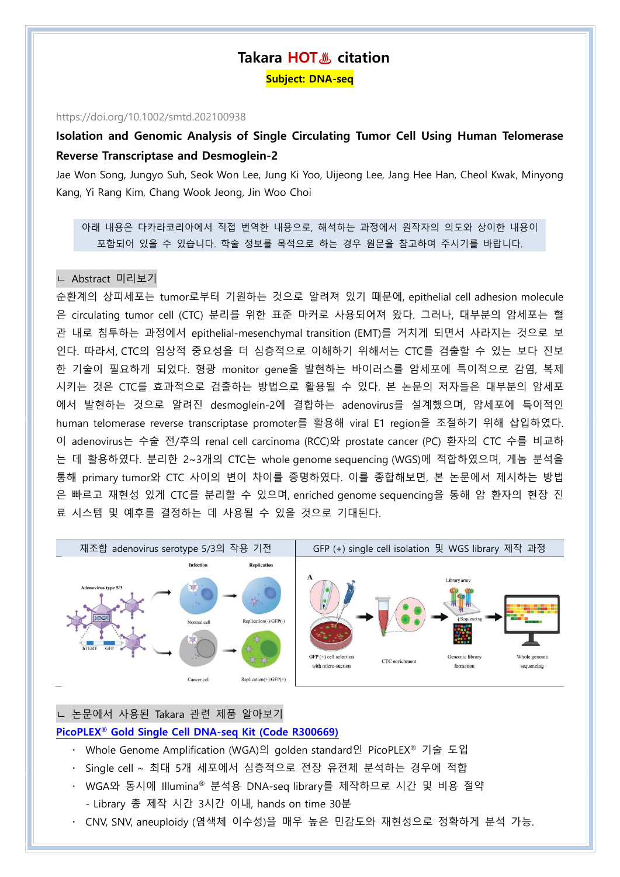# **Takara HOT♨ citation**

**Subject: DNA-seq**

#### https://doi.org/10.1002/smtd.202100938

# **Isolation and Genomic Analysis of Single Circulating Tumor Cell Using Human Telomerase Reverse Transcriptase and Desmoglein-2**

Jae Won Song, Jungyo Suh, Seok Won Lee, Jung Ki Yoo, Uijeong Lee, Jang Hee Han, Cheol Kwak, Minyong Kang, Yi Rang Kim, Chang Wook Jeong, Jin Woo Choi

아래 내용은 다카라코리아에서 직접 번역한 내용으로, 해석하는 과정에서 원작자의 의도와 상이한 내용이 포함되어 있을 수 있습니다. 학술 정보를 목적으로 하는 경우 원문을 참고하여 주시기를 바랍니다.

# ㄴ Abstract 미리보기

순환계의 상피세포는 tumor로부터 기원하는 것으로 알려져 있기 때문에, epithelial cell adhesion molecule 은 circulating tumor cell (CTC) 분리를 위한 표준 마커로 사용되어져 왔다. 그러나, 대부분의 암세포는 혈 관 내로 침투하는 과정에서 epithelial-mesenchymal transition (EMT)를 거치게 되면서 사라지는 것으로 보 인다. 따라서, CTC의 임상적 중요성을 더 심층적으로 이해하기 위해서는 CTC를 검출할 수 있는 보다 진보 한 기술이 필요하게 되었다. 형광 monitor gene을 발현하는 바이러스를 암세포에 특이적으로 감염, 복제 시키는 것은 CTC를 효과적으로 검출하는 방법으로 활용될 수 있다. 본 논문의 저자들은 대부분의 암세포 에서 발현하는 것으로 알려진 desmoglein-2에 결합하는 adenovirus를 설계했으며, 암세포에 특이적인 human telomerase reverse transcriptase promoter를 활용해 viral E1 region을 조절하기 위해 삽입하였다. 이 adenovirus는 수술 전/후의 renal cell carcinoma (RCC)와 prostate cancer (PC) 환자의 CTC 수를 비교하 는 데 활용하였다. 분리한 2~3개의 CTC는 whole genome sequencing (WGS)에 적합하였으며, 게놈 분석을 통해 primary tumor와 CTC 사이의 변이 차이를 증명하였다. 이를 종합해보면, 본 논문에서 제시하는 방법 은 빠르고 재현성 있게 CTC를 분리할 수 있으며, enriched genome sequencing을 통해 암 환자의 현장 진 료 시스템 및 예후를 결정하는 데 사용될 수 있을 것으로 기대된다.



# ㄴ 논문에서 사용된 Takara 관련 제품 알아보기

# **PicoPLEX® [Gold Single Cell DNA-seq Kit](https://www.takara.co.kr/web01/product/productList.asp?lcode=R300669) (Code R300669)**

- Whole Genome Amplification (WGA)의 golden standard인 PicoPLEX® 기술 도입
- Single cell ~ 최대 5개 세포에서 심층적으로 전장 유전체 분석하는 경우에 적합
- WGA와 동시에 Illumina® 분석용 DNA-seq library를 제작하므로 시간 및 비용 절약 - Library 총 제작 시간 3시간 이내, hands on time 30분
- CNV, SNV, aneuploidy (염색체 이수성)을 매우 높은 민감도와 재현성으로 정확하게 분석 가능.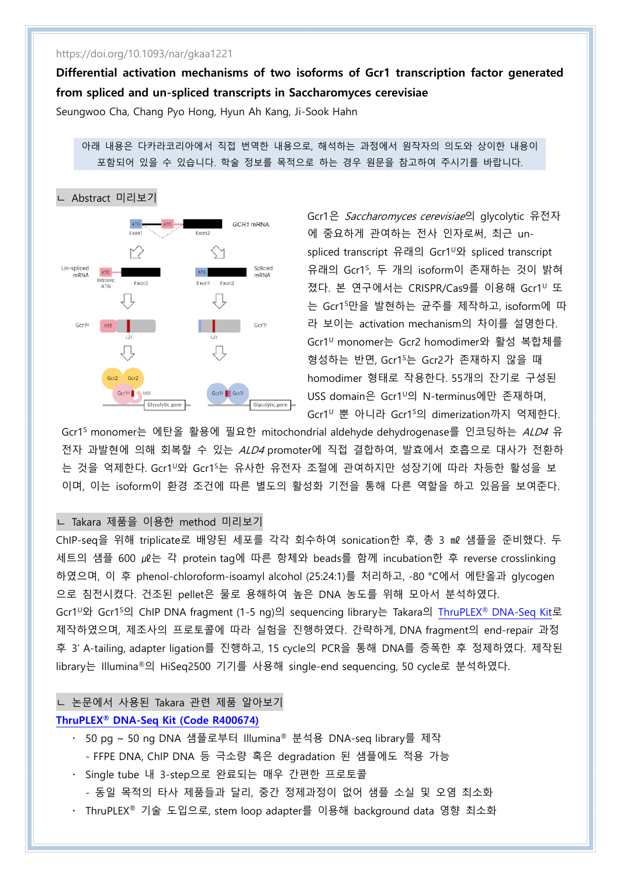# https://doi.org/10.1093/nar/gkaa1221

**Differential activation mechanisms of two isoforms of Gcr1 transcription factor generated from spliced and un-spliced transcripts in Saccharomyces cerevisiae**

Seungwoo Cha, Chang Pyo Hong, Hyun Ah Kang, Ji-Sook Hahn

아래 내용은 다카라코리아에서 직접 번역한 내용으로, 해석하는 과정에서 원작자의 의도와 상이한 내용이 포함되어 있을 수 있습니다. 학술 정보를 목적으로 하는 경우 원문을 참고하여 주시기를 바랍니다.



Gcr1은 Saccharomyces cerevisiae의 glycolytic 유전자 에 중요하게 관여하는 전사 인자로써, 최근 unspliced transcript 유래의 Gcr1<sup>U</sup>와 spliced transcript 유래의 Gcr1<sup>S</sup> , 두 개의 isoform이 존재하는 것이 밝혀 졌다. 본 연구에서는 CRISPR/Cas9를 이용해 Gcr1<sup>U</sup> 또 는 Gcr1<sup>S</sup>만을 발현하는 균주를 제작하고, isoform에 따 라 보이는 activation mechanism의 차이를 설명한다. Gcr1<sup>U</sup> monomer는 Gcr2 homodimer와 활성 복합체를 형성하는 반면, Gcr1<sup>S</sup>는 Gcr2가 존재하지 않을 때 homodimer 형태로 작용한다. 55개의 잔기로 구성된 USS domain은 Gcr1<sup>0</sup>의 N-terminus에만 존재하며, Gcr1<sup>U</sup> 뿐 아니라 Gcr1<sup>S</sup>의 dimerization까지 억제한다.

Gcr1<sup>S</sup> monomer는 에탄올 활용에 필요한 mitochondrial aldehyde dehydrogenase를 인코딩하는 ALD4 유 전자 과발현에 의해 회복할 수 있는 ALD4 promoter에 직접 결합하여, 발효에서 호흡으로 대사가 전환하 는 것을 억제한다. Gcr1<sup>∪</sup>와 Gcr1<sup>s</sup>는 유사한 유전자 조절에 관여하지만 성장기에 따라 차등한 활성을 보 이며, 이는 isoform이 환경 조건에 따른 별도의 활성화 기전을 통해 다른 역할을 하고 있음을 보여준다.

# ㄴ Takara 제품을 이용한 method 미리보기

ChIP-seq을 위해 triplicate로 배양된 세포를 각각 회수하여 sonication한 후, 총 3 ㎖ 샘플을 준비했다. 두 세트의 샘플 600 ㎕는 각 protein tag에 따른 항체와 beads를 함께 incubation한 후 reverse crosslinking 하였으며, 이 후 phenol-chloroform-isoamyl alcohol (25:24:1)를 처리하고, -80 °C에서 에탄올과 glycogen 으로 침전시켰다. 건조된 pellet은 물로 용해하여 높은 DNA 농도를 위해 모아서 분석하였다. Gcr1<sup>U</sup>와 Gcr1<sup>S</sup>의 ChIP DNA fragment (1-5 ng)의 sequencing library는 Takara의 ThruPLEX® [DNA-Seq Kit](https://www.takara.co.kr/web01/product/productList.asp?lcode=R400674)로 제작하였으며, 제조사의 프로토콜에 따라 실험을 진행하였다. 간략하게, DNA fragment의 end-repair 과정 후 3' A-tailing, adapter ligation를 진행하고, 15 cycle의 PCR을 통해 DNA를 증폭한 후 정제하였다. 제작된 library는 Illumina®의 HiSeq2500 기기를 사용해 single-end sequencing, 50 cycle로 분석하였다.

ㄴ 논문에서 사용된 Takara 관련 제품 알아보기

# **ThruPLEX® [DNA-Seq Kit \(Code R400674\)](https://www.takara.co.kr/web01/product/productList.asp?lcode=R400674)**

- 50 pg ~ 50 ng DNA 샘플로부터 Illumina® 분석용 DNA-seq library를 제작
	- FFPE DNA, ChIP DNA 등 극소량 혹은 degradation 된 샘플에도 적용 가능
- Single tube 내 3-step으로 완료되는 매우 간편한 프로토콜
	- 동일 목적의 타사 제품들과 달리, 중간 정제과정이 없어 샘플 소실 및 오염 최소화
- ThruPLEX® 기술 도입으로, stem loop adapter를 이용해 background data 영향 최소화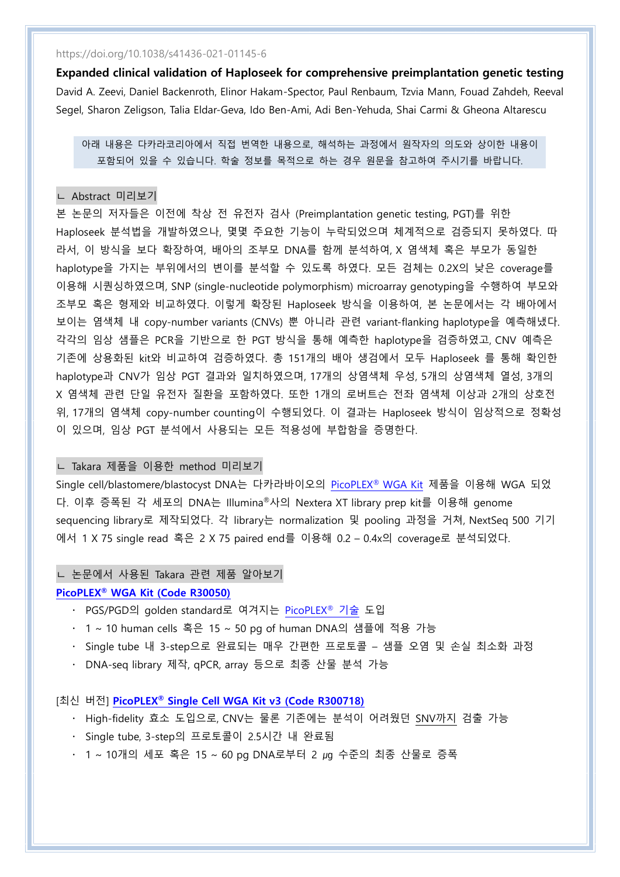https://doi.org/10.1038/s41436-021-01145-6

**Expanded clinical validation of Haploseek for comprehensive preimplantation genetic testing** David A. Zeevi, Daniel Backenroth, Elinor Hakam-Spector, Paul Renbaum, Tzvia Mann, Fouad Zahdeh, Reeval Segel, Sharon Zeligson, Talia Eldar-Geva, Ido Ben-Ami, Adi Ben-Yehuda, Shai Carmi & Gheona Altarescu

아래 내용은 다카라코리아에서 직접 번역한 내용으로, 해석하는 과정에서 원작자의 의도와 상이한 내용이 포함되어 있을 수 있습니다. 학술 정보를 목적으로 하는 경우 원문을 참고하여 주시기를 바랍니다.

#### ㄴ Abstract 미리보기

본 논문의 저자들은 이전에 착상 전 유전자 검사 (Preimplantation genetic testing, PGT)를 위한 Haploseek 분석법을 개발하였으나, 몇몇 주요한 기능이 누락되었으며 체계적으로 검증되지 못하였다. 따 라서, 이 방식을 보다 확장하여, 배아의 조부모 DNA를 함께 분석하여, X 염색체 혹은 부모가 동일한 haplotype을 가지는 부위에서의 변이를 분석할 수 있도록 하였다. 모든 검체는 0.2X의 낮은 coverage를 이용해 시퀀싱하였으며, SNP (single-nucleotide polymorphism) microarray genotyping을 수행하여 부모와 조부모 혹은 형제와 비교하였다. 이렇게 확장된 Haploseek 방식을 이용하여, 본 논문에서는 각 배아에서 보이는 염색체 내 copy-number variants (CNVs) 뿐 아니라 관련 variant-flanking haplotype을 예측해냈다. 각각의 임상 샘플은 PCR을 기반으로 한 PGT 방식을 통해 예측한 haplotype을 검증하였고, CNV 예측은 기존에 상용화된 kit와 비교하여 검증하였다. 총 151개의 배아 생검에서 모두 Haploseek 를 통해 확인한 haplotype과 CNV가 임상 PGT 결과와 일치하였으며, 17개의 상염색체 우성, 5개의 상염색체 열성, 3개의 X 염색체 관련 단일 유전자 질환을 포함하였다. 또한 1개의 로버트슨 전좌 염색체 이상과 2개의 상호전 위, 17개의 염색체 copy-number counting이 수행되었다. 이 결과는 Haploseek 방식이 임상적으로 정확성 이 있으며, 임상 PGT 분석에서 사용되는 모든 적용성에 부합함을 증명한다.

# ㄴ Takara 제품을 이용한 method 미리보기

Single cell/blastomere/blastocyst DNA는 다카라바이오의 [PicoPLEX](https://www.takara.co.kr/web01/product/productList.asp?lcode=R30050)® WGA Kit 제품을 이용해 WGA 되었 다. 이후 증폭된 각 세포의 DNA는 Illumina®사의 Nextera XT library prep kit를 이용해 genome sequencing library로 제작되었다. 각 library는 normalization 및 pooling 과정을 거쳐, NextSeq 500 기기 에서 1 X 75 single read 혹은 2 X 75 paired end를 이용해 0.2 – 0.4x의 coverage로 분석되었다.

#### ㄴ 논문에서 사용된 Takara 관련 제품 알아보기

### **PicoPLEX® [WGA Kit \(Code R30050\)](https://www.takara.co.kr/web01/product/productList.asp?lcode=R30050)**

- · PGS/PGD의 golden standard로 여겨지는 [PicoPLEX](https://www.takara.co.kr/web01/product/productList.asp?lcode=D180702)® 기술 도입
- 1 ~ 10 human cells 혹은 15 ~ 50 pg of human DNA의 샘플에 적용 가능
- Single tube 내 3-step으로 완료되는 매우 간편한 프로토콜 샘플 오염 및 손실 최소화 과정
- DNA-seq library 제작, qPCR, array 등으로 최종 산물 분석 가능

## [최신 버전] **PicoPLEX® [Single Cell WGA Kit v3 \(Code R300718\)](https://www.takara.co.kr/web01/product/productList.asp?lcode=R300718)**

- · High-fidelity 효소 도입으로, CNV는 물론 기존에는 분석이 어려웠던 SNV까지 검출 가능
- Single tube, 3-step의 프로토콜이 2.5시간 내 완료됨
- 1 ~ 10개의 세포 혹은 15 ~ 60 pg DNA로부터 2 µg 수준의 최종 산물로 증폭